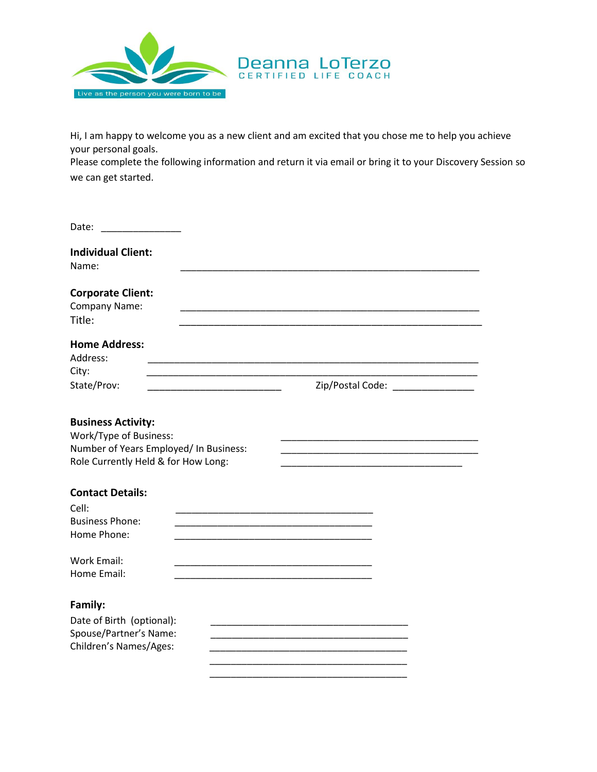

Hi, I am happy to welcome you as a new client and am excited that you chose me to help you achieve your personal goals.

Please complete the following information and return it via email or bring it to your Discovery Session so we can get started.

| Date:                                                                                                                                |                                     |
|--------------------------------------------------------------------------------------------------------------------------------------|-------------------------------------|
| <b>Individual Client:</b><br>Name:                                                                                                   |                                     |
| <b>Corporate Client:</b><br>Company Name:<br>Title:                                                                                  |                                     |
| <b>Home Address:</b><br>Address:<br>City:                                                                                            |                                     |
| State/Prov:                                                                                                                          | Zip/Postal Code: __________________ |
| <b>Business Activity:</b><br>Work/Type of Business:<br>Number of Years Employed/ In Business:<br>Role Currently Held & for How Long: |                                     |
| <b>Contact Details:</b><br>Cell:<br><b>Business Phone:</b><br>Home Phone:                                                            |                                     |
| <b>Work Email:</b><br>Home Email:                                                                                                    |                                     |
| Family:<br>Date of Birth (optional):<br>Spouse/Partner's Name:<br>Children's Names/Ages:                                             |                                     |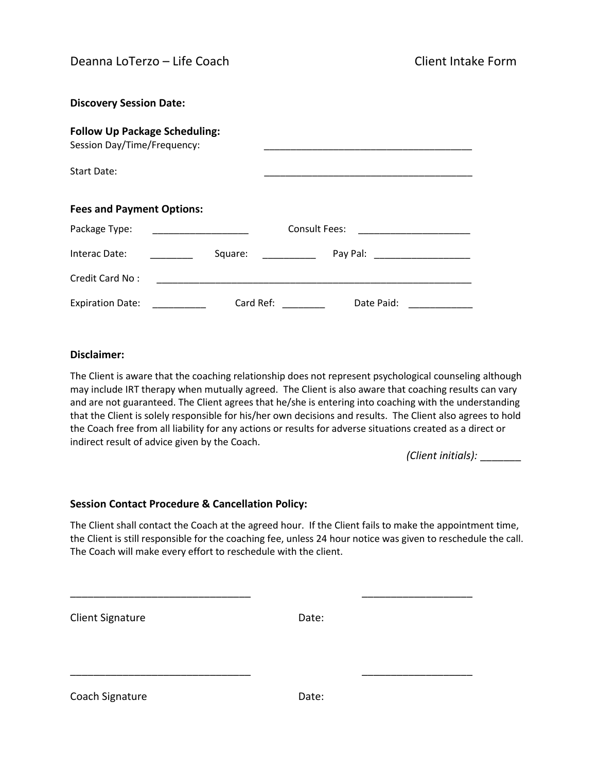| <b>Discovery Session Date:</b>                                      |           |               |                                                                                                                                                                                                                                |  |
|---------------------------------------------------------------------|-----------|---------------|--------------------------------------------------------------------------------------------------------------------------------------------------------------------------------------------------------------------------------|--|
| <b>Follow Up Package Scheduling:</b><br>Session Day/Time/Frequency: |           |               |                                                                                                                                                                                                                                |  |
| Start Date:                                                         |           |               |                                                                                                                                                                                                                                |  |
| <b>Fees and Payment Options:</b>                                    |           |               |                                                                                                                                                                                                                                |  |
| Package Type:                                                       |           | Consult Fees: |                                                                                                                                                                                                                                |  |
| Interac Date:                                                       | Square:   |               | Pay Pal: and the payment of the state of the state of the state of the state of the state of the state of the state of the state of the state of the state of the state of the state of the state of the state of the state of |  |
| <b>Credit Card No:</b>                                              |           |               |                                                                                                                                                                                                                                |  |
| <b>Expiration Date:</b>                                             | Card Ref: |               | Date Paid:                                                                                                                                                                                                                     |  |

## **Disclaimer:**

The Client is aware that the coaching relationship does not represent psychological counseling although may include IRT therapy when mutually agreed. The Client is also aware that coaching results can vary and are not guaranteed. The Client agrees that he/she is entering into coaching with the understanding that the Client is solely responsible for his/her own decisions and results. The Client also agrees to hold the Coach free from all liability for any actions or results for adverse situations created as a direct or indirect result of advice given by the Coach.

*(Client initials):* \_\_\_\_\_\_\_

## **Session Contact Procedure & Cancellation Policy:**

The Client shall contact the Coach at the agreed hour. If the Client fails to make the appointment time, the Client is still responsible for the coaching fee, unless 24 hour notice was given to reschedule the call. The Coach will make every effort to reschedule with the client.

\_\_\_\_\_\_\_\_\_\_\_\_\_\_\_\_\_\_\_\_\_\_\_\_\_\_\_\_\_\_\_ \_\_\_\_\_\_\_\_\_\_\_\_\_\_\_\_\_\_\_

\_\_\_\_\_\_\_\_\_\_\_\_\_\_\_\_\_\_\_\_\_\_\_\_\_\_\_\_\_\_\_ \_\_\_\_\_\_\_\_\_\_\_\_\_\_\_\_\_\_\_

Client Signature Date:

Coach Signature Date: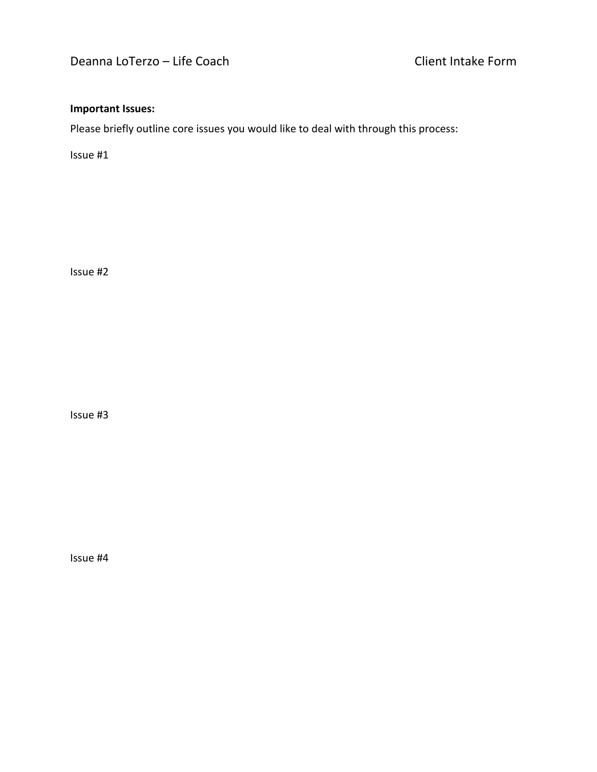## **Important Issues:**

Please briefly outline core issues you would like to deal with through this process:

Issue #1

Issue #2

Issue #3

Issue #4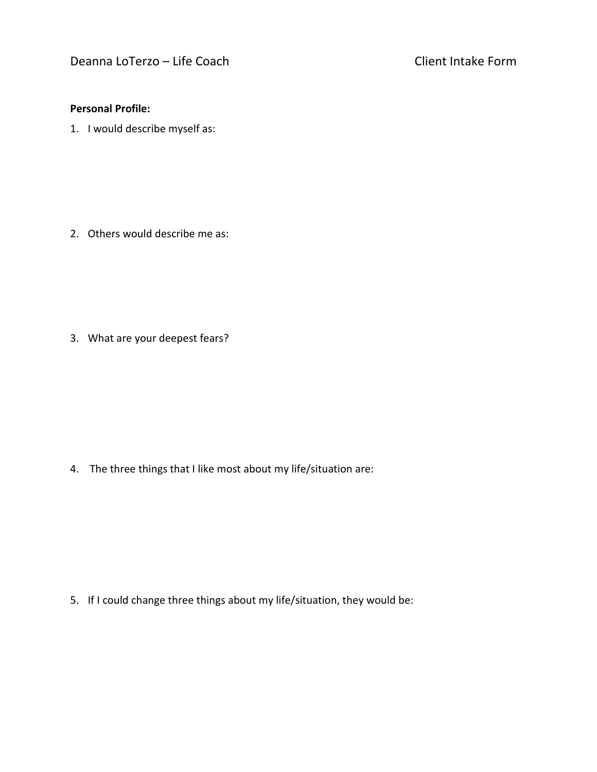## **Personal Profile:**

1. I would describe myself as:

2. Others would describe me as:

3. What are your deepest fears?

4. The three things that I like most about my life/situation are:

5. If I could change three things about my life/situation, they would be: